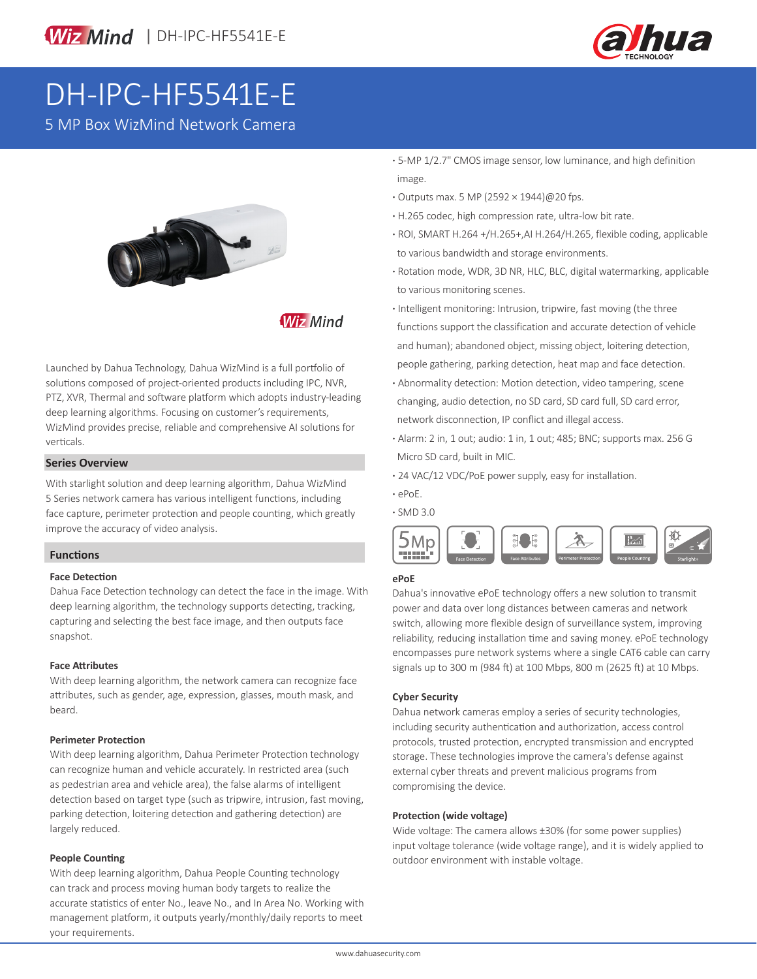



# DH-IPC-HF5541E-E

5 MP Box WizMind Network Camera



**Wiz Mind** 

Launched by Dahua Technology, Dahua WizMind is a full portfolio of solutions composed of project-oriented products including IPC, NVR, PTZ, XVR, Thermal and software platform which adopts industry-leading deep learning algorithms. Focusing on customer's requirements, WizMind provides precise, reliable and comprehensive AI solutions for verticals.

#### **Series Overview**

With starlight solution and deep learning algorithm, Dahua WizMind 5 Series network camera has various intelligent functions, including face capture, perimeter protection and people counting, which greatly improve the accuracy of video analysis.

## **Functions**

#### **Face Detection**

Dahua Face Detection technology can detect the face in the image. With deep learning algorithm, the technology supports detecting, tracking, capturing and selecting the best face image, and then outputs face snapshot.

#### **Face Attributes**

With deep learning algorithm, the network camera can recognize face attributes, such as gender, age, expression, glasses, mouth mask, and beard.

#### **Perimeter Protection**

With deep learning algorithm, Dahua Perimeter Protection technology can recognize human and vehicle accurately. In restricted area (such as pedestrian area and vehicle area), the false alarms of intelligent detection based on target type (such as tripwire, intrusion, fast moving, parking detection, loitering detection and gathering detection) are largely reduced.

#### **People Counting**

With deep learning algorithm, Dahua People Counting technology can track and process moving human body targets to realize the accurate statistics of enter No., leave No., and In Area No. Working with management platform, it outputs yearly/monthly/daily reports to meet your requirements.

- **·** 5-MP 1/2.7" CMOS image sensor, low luminance, and high definition image.
- **·** Outputs max. 5 MP (2592 × 1944)@20 fps.
- **·** H.265 codec, high compression rate, ultra-low bit rate.
- **·** ROI, SMART H.264 +/H.265+,AI H.264/H.265, flexible coding, applicable to various bandwidth and storage environments.
- **·** Rotation mode, WDR, 3D NR, HLC, BLC, digital watermarking, applicable to various monitoring scenes.
- **·** Intelligent monitoring: Intrusion, tripwire, fast moving (the three functions support the classification and accurate detection of vehicle and human); abandoned object, missing object, loitering detection, people gathering, parking detection, heat map and face detection.
- **·** Abnormality detection: Motion detection, video tampering, scene changing, audio detection, no SD card, SD card full, SD card error, network disconnection, IP conflict and illegal access.
- **·** Alarm: 2 in, 1 out; audio: 1 in, 1 out; 485; BNC; supports max. 256 G Micro SD card, built in MIC.
- **·** 24 VAC/12 VDC/PoE power supply, easy for installation.
- **·** ePoE.
- **·** SMD 3.0



### **ePoE**

Dahua's innovative ePoE technology offers a new solution to transmit power and data over long distances between cameras and network switch, allowing more flexible design of surveillance system, improving reliability, reducing installation time and saving money. ePoE technology encompasses pure network systems where a single CAT6 cable can carry signals up to 300 m (984 ft) at 100 Mbps, 800 m (2625 ft) at 10 Mbps.

#### **Cyber Security**

Dahua network cameras employ a series of security technologies, including security authentication and authorization, access control protocols, trusted protection, encrypted transmission and encrypted storage. These technologies improve the camera's defense against external cyber threats and prevent malicious programs from compromising the device.

#### **Protection (wide voltage)**

Wide voltage: The camera allows ±30% (for some power supplies) input voltage tolerance (wide voltage range), and it is widely applied to outdoor environment with instable voltage.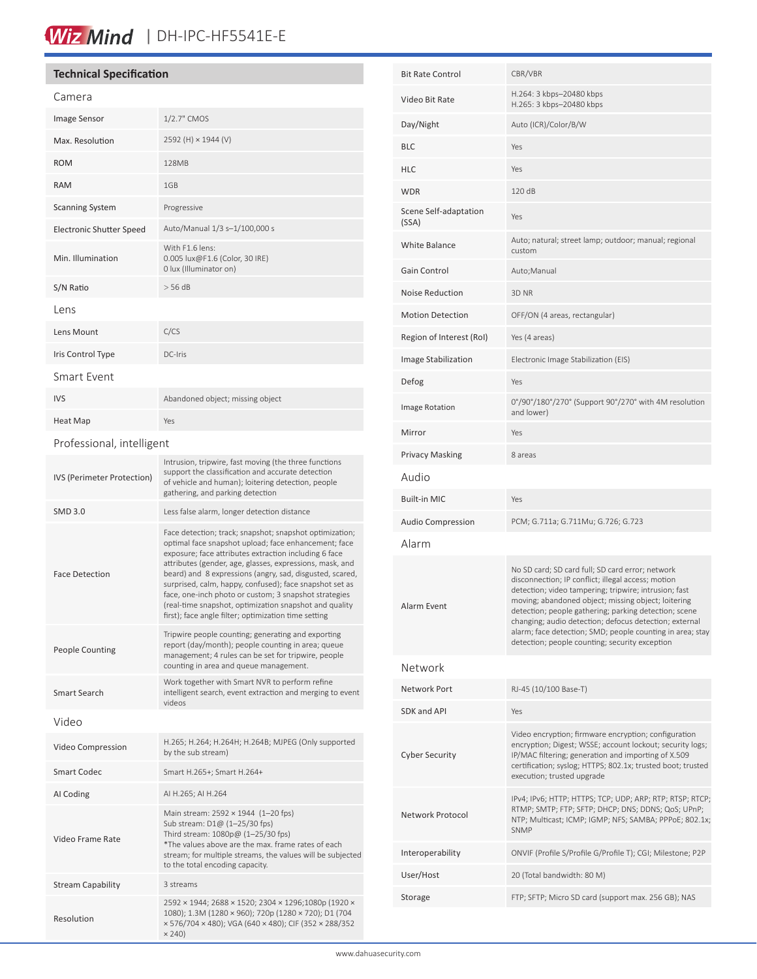# Wiz Mind | DH-IPC-HF5541E-E

## **Technical Specification**

| Camera                          |                                                                                                                                                                                                                                                                                                                                                                                                                                                                                                                                        |  |  |
|---------------------------------|----------------------------------------------------------------------------------------------------------------------------------------------------------------------------------------------------------------------------------------------------------------------------------------------------------------------------------------------------------------------------------------------------------------------------------------------------------------------------------------------------------------------------------------|--|--|
| Image Sensor                    | 1/2.7" CMOS                                                                                                                                                                                                                                                                                                                                                                                                                                                                                                                            |  |  |
| Max. Resolution                 | 2592 (H) × 1944 (V)                                                                                                                                                                                                                                                                                                                                                                                                                                                                                                                    |  |  |
| <b>ROM</b>                      | 128MB                                                                                                                                                                                                                                                                                                                                                                                                                                                                                                                                  |  |  |
| <b>RAM</b>                      | 1GB                                                                                                                                                                                                                                                                                                                                                                                                                                                                                                                                    |  |  |
| <b>Scanning System</b>          | Progressive                                                                                                                                                                                                                                                                                                                                                                                                                                                                                                                            |  |  |
| <b>Electronic Shutter Speed</b> | Auto/Manual 1/3 s-1/100,000 s                                                                                                                                                                                                                                                                                                                                                                                                                                                                                                          |  |  |
| Min. Illumination               | With F1.6 lens:<br>0.005 lux@F1.6 (Color, 30 IRE)<br>0 lux (Illuminator on)                                                                                                                                                                                                                                                                                                                                                                                                                                                            |  |  |
| S/N Ratio                       | > 56 dB                                                                                                                                                                                                                                                                                                                                                                                                                                                                                                                                |  |  |
| Lens                            |                                                                                                                                                                                                                                                                                                                                                                                                                                                                                                                                        |  |  |
| Lens Mount                      | C/CS                                                                                                                                                                                                                                                                                                                                                                                                                                                                                                                                   |  |  |
| Iris Control Type               | DC-Iris                                                                                                                                                                                                                                                                                                                                                                                                                                                                                                                                |  |  |
| Smart Fvent                     |                                                                                                                                                                                                                                                                                                                                                                                                                                                                                                                                        |  |  |
| <b>IVS</b>                      | Abandoned object; missing object                                                                                                                                                                                                                                                                                                                                                                                                                                                                                                       |  |  |
| Heat Map                        | Yes                                                                                                                                                                                                                                                                                                                                                                                                                                                                                                                                    |  |  |
| Professional, intelligent       |                                                                                                                                                                                                                                                                                                                                                                                                                                                                                                                                        |  |  |
| IVS (Perimeter Protection)      | Intrusion, tripwire, fast moving (the three functions<br>support the classification and accurate detection<br>of vehicle and human); loitering detection, people<br>gathering, and parking detection                                                                                                                                                                                                                                                                                                                                   |  |  |
| <b>SMD 3.0</b>                  | Less false alarm, longer detection distance                                                                                                                                                                                                                                                                                                                                                                                                                                                                                            |  |  |
| <b>Face Detection</b>           | Face detection; track; snapshot; snapshot optimization;<br>optimal face snapshot upload; face enhancement; face<br>exposure; face attributes extraction including 6 face<br>attributes (gender, age, glasses, expressions, mask, and<br>beard) and 8 expressions (angry, sad, disgusted, scared,<br>surprised, calm, happy, confused); face snapshot set as<br>face, one-inch photo or custom; 3 snapshot strategies<br>(real-time snapshot, optimization snapshot and quality<br>first); face angle filter; optimization time setting |  |  |
| <b>People Counting</b>          | Tripwire people counting; generating and exporting<br>report (day/month); people counting in area; queue<br>management; 4 rules can be set for tripwire, people<br>counting in area and queue management.                                                                                                                                                                                                                                                                                                                              |  |  |
| Smart Search                    | Work together with Smart NVR to perform refine<br>intelligent search, event extraction and merging to event<br>videos                                                                                                                                                                                                                                                                                                                                                                                                                  |  |  |
| Video                           |                                                                                                                                                                                                                                                                                                                                                                                                                                                                                                                                        |  |  |
| Video Compression               | H.265; H.264; H.264H; H.264B; MJPEG (Only supported<br>by the sub stream)                                                                                                                                                                                                                                                                                                                                                                                                                                                              |  |  |
| Smart Codec                     | Smart H.265+; Smart H.264+                                                                                                                                                                                                                                                                                                                                                                                                                                                                                                             |  |  |
| AI Coding                       | AI H.265; AI H.264                                                                                                                                                                                                                                                                                                                                                                                                                                                                                                                     |  |  |
| Video Frame Rate                | Main stream: 2592 × 1944 (1-20 fps)<br>Sub stream: D1@ (1-25/30 fps)<br>Third stream: 1080p@ (1-25/30 fps)<br>*The values above are the max. frame rates of each<br>stream; for multiple streams, the values will be subjected                                                                                                                                                                                                                                                                                                         |  |  |

to the total encoding capacity.

 $\times 240$ 

2592 × 1944; 2688 × 1520; 2304 × 1296;1080p (1920 × 1080); 1.3M (1280 × 960); 720p (1280 × 720); D1 (704 × 576/704 × 480); VGA (640 × 480); CIF (352 × 288/352

Stream Capability 3 streams

Resolution

| <b>Bit Rate Control</b>        | CBR/VBR                                                                                                                                                                                                                                                                                                                                                                                                                                                  |  |
|--------------------------------|----------------------------------------------------------------------------------------------------------------------------------------------------------------------------------------------------------------------------------------------------------------------------------------------------------------------------------------------------------------------------------------------------------------------------------------------------------|--|
| Video Bit Rate                 | H.264: 3 kbps-20480 kbps<br>H.265: 3 kbps-20480 kbps                                                                                                                                                                                                                                                                                                                                                                                                     |  |
| Day/Night                      | Auto (ICR)/Color/B/W                                                                                                                                                                                                                                                                                                                                                                                                                                     |  |
| <b>BLC</b>                     | Yes                                                                                                                                                                                                                                                                                                                                                                                                                                                      |  |
| <b>HLC</b>                     | Yes                                                                                                                                                                                                                                                                                                                                                                                                                                                      |  |
| <b>WDR</b>                     | 120 dB                                                                                                                                                                                                                                                                                                                                                                                                                                                   |  |
| Scene Self-adaptation<br>(SSA) | Yes                                                                                                                                                                                                                                                                                                                                                                                                                                                      |  |
| <b>White Balance</b>           | Auto; natural; street lamp; outdoor; manual; regional<br>custom                                                                                                                                                                                                                                                                                                                                                                                          |  |
| Gain Control                   | Auto; Manual                                                                                                                                                                                                                                                                                                                                                                                                                                             |  |
| <b>Noise Reduction</b>         | 3D NR                                                                                                                                                                                                                                                                                                                                                                                                                                                    |  |
| <b>Motion Detection</b>        | OFF/ON (4 areas, rectangular)                                                                                                                                                                                                                                                                                                                                                                                                                            |  |
| Region of Interest (RoI)       | Yes (4 areas)                                                                                                                                                                                                                                                                                                                                                                                                                                            |  |
| Image Stabilization            | Electronic Image Stabilization (EIS)                                                                                                                                                                                                                                                                                                                                                                                                                     |  |
| Defog                          | Yes                                                                                                                                                                                                                                                                                                                                                                                                                                                      |  |
| <b>Image Rotation</b>          | 0°/90°/180°/270° (Support 90°/270° with 4M resolution<br>and lower)                                                                                                                                                                                                                                                                                                                                                                                      |  |
| Mirror                         | Yes                                                                                                                                                                                                                                                                                                                                                                                                                                                      |  |
| <b>Privacy Masking</b>         | 8 areas                                                                                                                                                                                                                                                                                                                                                                                                                                                  |  |
| Audio                          |                                                                                                                                                                                                                                                                                                                                                                                                                                                          |  |
| <b>Built-in MIC</b>            | Yes                                                                                                                                                                                                                                                                                                                                                                                                                                                      |  |
| <b>Audio Compression</b>       | PCM; G.711a; G.711Mu; G.726; G.723                                                                                                                                                                                                                                                                                                                                                                                                                       |  |
| Alarm                          |                                                                                                                                                                                                                                                                                                                                                                                                                                                          |  |
| Alarm Event                    | No SD card; SD card full; SD card error; network<br>disconnection; IP conflict; illegal access; motion<br>detection; video tampering; tripwire; intrusion; fast<br>moving; abandoned object; missing object; loitering<br>detection; people gathering; parking detection; scene<br>changing; audio detection; defocus detection; external<br>alarm; face detection; SMD; people counting in area; stay<br>detection; people counting; security exception |  |
| Network                        |                                                                                                                                                                                                                                                                                                                                                                                                                                                          |  |
| Network Port                   | RJ-45 (10/100 Base-T)                                                                                                                                                                                                                                                                                                                                                                                                                                    |  |
| <b>SDK and API</b>             | Yes                                                                                                                                                                                                                                                                                                                                                                                                                                                      |  |
| <b>Cyber Security</b>          | Video encryption; firmware encryption; configuration<br>encryption; Digest; WSSE; account lockout; security logs;<br>IP/MAC filtering; generation and importing of X.509<br>certification; syslog; HTTPS; 802.1x; trusted boot; trusted<br>execution; trusted upgrade                                                                                                                                                                                    |  |
| Network Protocol               | IPv4; IPv6; HTTP; HTTPS; TCP; UDP; ARP; RTP; RTSP; RTCP;<br>RTMP; SMTP; FTP; SFTP; DHCP; DNS; DDNS; QoS; UPnP;<br>NTP; Multicast; ICMP; IGMP; NFS; SAMBA; PPPoE; 802.1x;<br>SNMP                                                                                                                                                                                                                                                                         |  |
| Interoperability               | ONVIF (Profile S/Profile G/Profile T); CGI; Milestone; P2P                                                                                                                                                                                                                                                                                                                                                                                               |  |
| User/Host                      | 20 (Total bandwidth: 80 M)                                                                                                                                                                                                                                                                                                                                                                                                                               |  |
| Storage                        | FTP; SFTP; Micro SD card (support max. 256 GB); NAS                                                                                                                                                                                                                                                                                                                                                                                                      |  |
|                                |                                                                                                                                                                                                                                                                                                                                                                                                                                                          |  |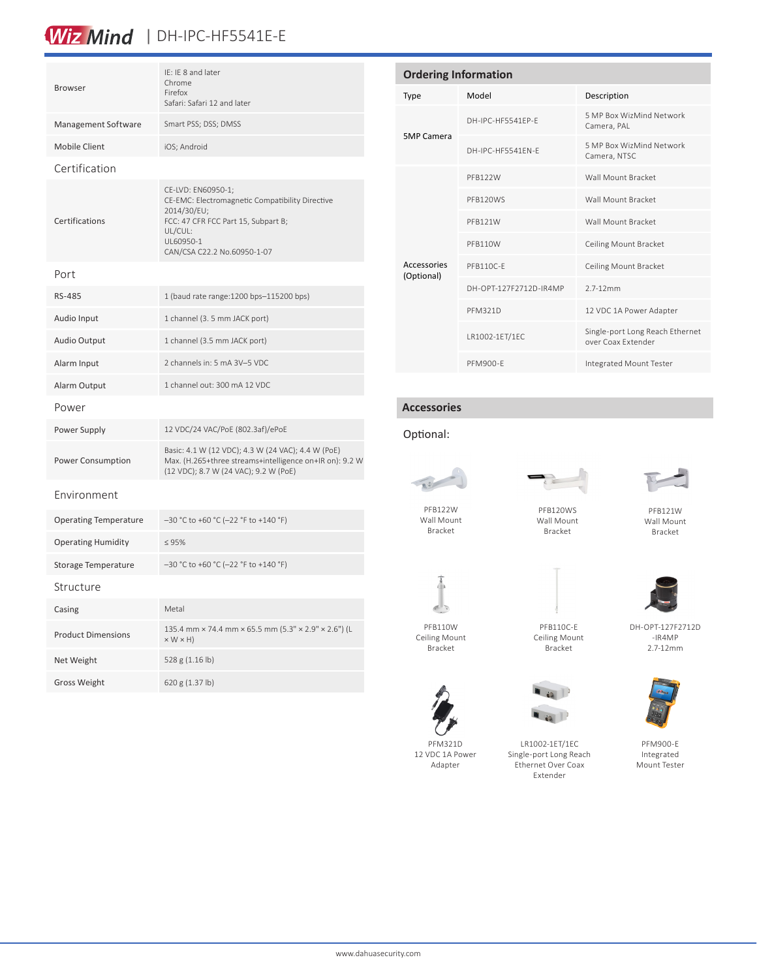# Wiz Mind | DH-IPC-HF5541E-E

| <b>Browser</b>               | IE: IE 8 and later<br>Chrome<br>Firefox<br>Safari: Safari 12 and later                                                                                                             |  |
|------------------------------|------------------------------------------------------------------------------------------------------------------------------------------------------------------------------------|--|
| Management Software          | Smart PSS; DSS; DMSS                                                                                                                                                               |  |
| <b>Mobile Client</b>         | iOS; Android                                                                                                                                                                       |  |
| Certification                |                                                                                                                                                                                    |  |
| Certifications               | CE-LVD: EN60950-1;<br>CE-EMC: Electromagnetic Compatibility Directive<br>2014/30/EU;<br>FCC: 47 CFR FCC Part 15, Subpart B;<br>UL/CUL:<br>UL60950-1<br>CAN/CSA C22.2 No.60950-1-07 |  |
| Port                         |                                                                                                                                                                                    |  |
| RS-485                       | 1 (baud rate range: 1200 bps-115200 bps)                                                                                                                                           |  |
| Audio Input                  | 1 channel (3. 5 mm JACK port)                                                                                                                                                      |  |
| Audio Output                 | 1 channel (3.5 mm JACK port)                                                                                                                                                       |  |
| Alarm Input                  | 2 channels in: 5 mA 3V-5 VDC                                                                                                                                                       |  |
| Alarm Output                 | 1 channel out: 300 mA 12 VDC                                                                                                                                                       |  |
| Power                        |                                                                                                                                                                                    |  |
| Power Supply                 | 12 VDC/24 VAC/PoE (802.3af)/ePoE                                                                                                                                                   |  |
| <b>Power Consumption</b>     | Basic: 4.1 W (12 VDC); 4.3 W (24 VAC); 4.4 W (PoE)<br>Max. (H.265+three streams+intelligence on+IR on): 9.2 W<br>(12 VDC); 8.7 W (24 VAC); 9.2 W (PoE)                             |  |
| Fnvironment                  |                                                                                                                                                                                    |  |
| <b>Operating Temperature</b> | $-30$ °C to +60 °C (-22 °F to +140 °F)                                                                                                                                             |  |
| <b>Operating Humidity</b>    | $\leq 95\%$                                                                                                                                                                        |  |
| Storage Temperature          | -30 °C to +60 °C (-22 °F to +140 °F)                                                                                                                                               |  |
| Structure                    |                                                                                                                                                                                    |  |
| Casing                       | Metal                                                                                                                                                                              |  |
| Deadlich Dimonate            | 135.4 mm × 74.4 mm × 65.5 mm (5.3" × 2.9" × 2.6") (L                                                                                                                               |  |

| Metal                                                                          |
|--------------------------------------------------------------------------------|
| 135.4 mm × 74.4 mm × 65.5 mm (5.3" × 2.9" × 2.6") (L<br>$\times$ W $\times$ H) |
| 528 g (1.16 lb)                                                                |
| 620 g $(1.37 \text{ lb})$                                                      |
|                                                                                |

| <b>Ordering Information</b> |                        |                                                       |  |  |
|-----------------------------|------------------------|-------------------------------------------------------|--|--|
| <b>Type</b>                 | Model                  | Description                                           |  |  |
| <b>5MP Camera</b>           | DH-IPC-HF5541EP-E      | 5 MP Box WizMind Network<br>Camera, PAL               |  |  |
|                             | DH-IPC-HE5541FN-F      | 5 MP Box WizMind Network<br>Camera, NTSC              |  |  |
| Accessories<br>(Optional)   | PFB122W                | Wall Mount Bracket                                    |  |  |
|                             | PFB120WS               | Wall Mount Bracket                                    |  |  |
|                             | PFB121W                | Wall Mount Bracket                                    |  |  |
|                             | PFB110W                | Ceiling Mount Bracket                                 |  |  |
|                             | PFB110C-F              | Ceiling Mount Bracket                                 |  |  |
|                             | DH-OPT-127F2712D-IR4MP | $27-12mm$                                             |  |  |
|                             | <b>PFM321D</b>         | 12 VDC 1A Power Adapter                               |  |  |
|                             | LR1002-1ET/1EC         | Single-port Long Reach Ethernet<br>over Coax Extender |  |  |
|                             | PFM900-F               | Integrated Mount Tester                               |  |  |

# **Accessories**

### Optional:



Wall Mount Bracket

PFB120WS

Wall Mount Bracket



PFB121W Wall Mount Bracket



Ceiling Mount Bracket



 $60$  $\blacksquare$  is  $\blacksquare$ 



DH-OPT-127F2712D -IR4MP 2.7-12mm

PFM900-E Integrated Mount Tester

PFM321D 12 VDC 1A Power Adapter

LR1002-1ET/1EC Single-port Long Reach Ethernet Over Coax Extender